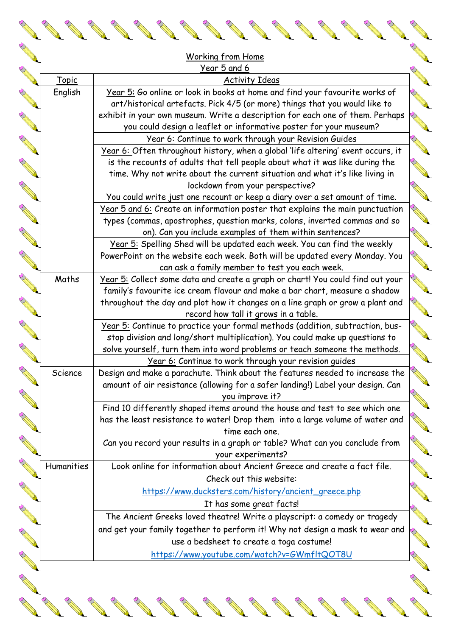|                   | Working from Home                                                                |
|-------------------|----------------------------------------------------------------------------------|
|                   | Year 5 and 6                                                                     |
| <b>Topic</b>      | <b>Activity Ideas</b>                                                            |
| English           | Year 5: Go online or look in books at home and find your favourite works of      |
|                   | art/historical artefacts. Pick 4/5 (or more) things that you would like to       |
|                   | exhibit in your own museum. Write a description for each one of them. Perhaps    |
|                   | you could design a leaflet or informative poster for your museum?                |
|                   | Year 6: Continue to work through your Revision Guides                            |
|                   | Year 6: Often throughout history, when a global 'life altering' event occurs, it |
|                   | is the recounts of adults that tell people about what it was like during the     |
|                   | time. Why not write about the current situation and what it's like living in     |
|                   | lockdown from your perspective?                                                  |
|                   | You could write just one recount or keep a diary over a set amount of time.      |
|                   | Year 5 and 6: Create an information poster that explains the main punctuation    |
|                   | types (commas, apostrophes, question marks, colons, inverted commas and so       |
|                   | on). Can you include examples of them within sentences?                          |
|                   | Year 5: Spelling Shed will be updated each week. You can find the weekly         |
|                   | PowerPoint on the website each week. Both will be updated every Monday. You      |
|                   | can ask a family member to test you each week.                                   |
| Maths             | Year 5: Collect some data and create a graph or chart! You could find out your   |
|                   | family's favourite ice cream flavour and make a bar chart, measure a shadow      |
|                   | throughout the day and plot how it changes on a line graph or grow a plant and   |
|                   | record how tall it grows in a table.                                             |
|                   | Year 5: Continue to practice your formal methods (addition, subtraction, bus-    |
|                   | stop division and long/short multiplication). You could make up questions to     |
|                   | solve yourself, turn them into word problems or teach someone the methods.       |
|                   | Year 6: Continue to work through your revision guides                            |
| Science           | Design and make a parachute. Think about the features needed to increase the     |
|                   | amount of air resistance (allowing for a safer landing!) Label your design. Can  |
|                   | you improve it?                                                                  |
|                   | Find 10 differently shaped items around the house and test to see which one      |
|                   | has the least resistance to water! Drop them into a large volume of water and    |
|                   | time each one.                                                                   |
|                   | Can you record your results in a graph or table? What can you conclude from      |
|                   | your experiments?                                                                |
| <b>Humanities</b> | Look online for information about Ancient Greece and create a fact file.         |
|                   | Check out this website:                                                          |
|                   | https://www.ducksters.com/history/ancient_greece.php                             |
|                   | It has some great facts!                                                         |
|                   | The Ancient Greeks loved theatre! Write a playscript: a comedy or tragedy        |
|                   |                                                                                  |
|                   | and get your family together to perform it! Why not design a mask to wear and    |
|                   | use a bedsheet to create a toga costume!                                         |
|                   | https://www.youtube.com/watch?v=GWmfltQOT8U                                      |

 $\mathcal{P}$ 

O,

 $\mathcal{O}_k$ 

つ

 $\mathcal{P}'$ 

 $\mathcal{O}$ 

**Allahamada Career Career** 

D

 $\mathcal{O}$ 

◆

◆

 $\mathcal{P}'$ 

 $\mathcal{O}$